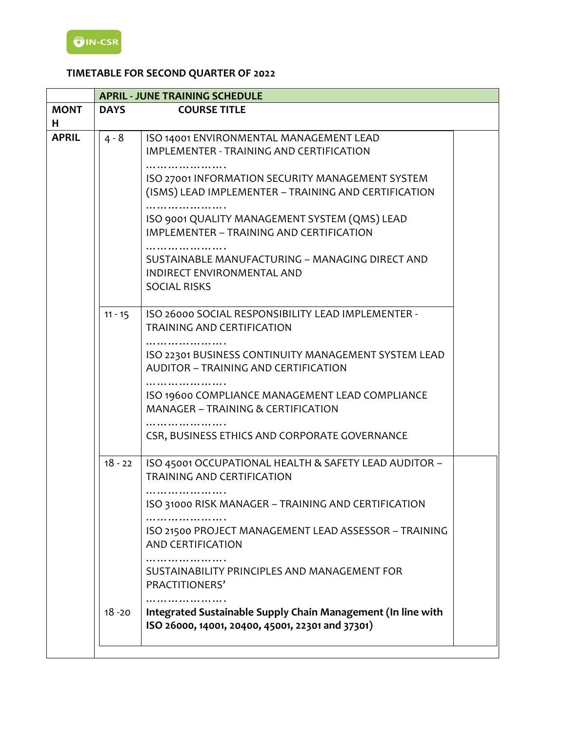# **TIMETABLE FOR SECOND QUARTER OF 2022**

|              |             | <b>APRIL - JUNE TRAINING SCHEDULE</b>                                                                            |  |
|--------------|-------------|------------------------------------------------------------------------------------------------------------------|--|
| <b>MONT</b>  | <b>DAYS</b> | <b>COURSE TITLE</b>                                                                                              |  |
| н            |             |                                                                                                                  |  |
| <b>APRIL</b> | $4 - 8$     | ISO 14001 ENVIRONMENTAL MANAGEMENT LEAD<br><b>IMPLEMENTER - TRAINING AND CERTIFICATION</b>                       |  |
|              |             | ISO 27001 INFORMATION SECURITY MANAGEMENT SYSTEM<br>(ISMS) LEAD IMPLEMENTER - TRAINING AND CERTIFICATION         |  |
|              |             | ISO 9001 QUALITY MANAGEMENT SYSTEM (QMS) LEAD<br>IMPLEMENTER - TRAINING AND CERTIFICATION                        |  |
|              |             | SUSTAINABLE MANUFACTURING - MANAGING DIRECT AND<br>INDIRECT ENVIRONMENTAL AND<br><b>SOCIAL RISKS</b>             |  |
|              | $11 - 15$   | ISO 26000 SOCIAL RESPONSIBILITY LEAD IMPLEMENTER -<br><b>TRAINING AND CERTIFICATION</b>                          |  |
|              |             | ISO 22301 BUSINESS CONTINUITY MANAGEMENT SYSTEM LEAD<br><b>AUDITOR - TRAINING AND CERTIFICATION</b>              |  |
|              |             | ISO 19600 COMPLIANCE MANAGEMENT LEAD COMPLIANCE<br><b>MANAGER - TRAINING &amp; CERTIFICATION</b>                 |  |
|              |             | CSR, BUSINESS ETHICS AND CORPORATE GOVERNANCE                                                                    |  |
|              | $18 - 22$   | ISO 45001 OCCUPATIONAL HEALTH & SAFETY LEAD AUDITOR -<br><b>TRAINING AND CERTIFICATION</b>                       |  |
|              |             | ISO 31000 RISK MANAGER - TRAINING AND CERTIFICATION                                                              |  |
|              |             | ISO 21500 PROJECT MANAGEMENT LEAD ASSESSOR - TRAINING<br><b>AND CERTIFICATION</b>                                |  |
|              |             | .<br>SUSTAINABILITY PRINCIPLES AND MANAGEMENT FOR<br>PRACTITIONERS'                                              |  |
|              | $18 - 20$   | Integrated Sustainable Supply Chain Management (In line with<br>ISO 26000, 14001, 20400, 45001, 22301 and 37301) |  |
|              |             |                                                                                                                  |  |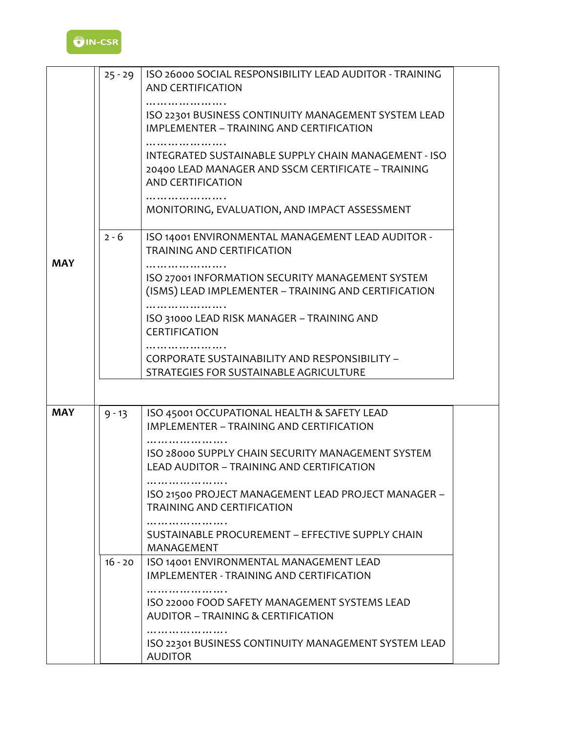

|            | $25 - 29$ | ISO 26000 SOCIAL RESPONSIBILITY LEAD AUDITOR - TRAINING<br><b>AND CERTIFICATION</b>                                             |  |
|------------|-----------|---------------------------------------------------------------------------------------------------------------------------------|--|
|            |           | ISO 22301 BUSINESS CONTINUITY MANAGEMENT SYSTEM LEAD<br>IMPLEMENTER - TRAINING AND CERTIFICATION                                |  |
|            |           | INTEGRATED SUSTAINABLE SUPPLY CHAIN MANAGEMENT - ISO<br>20400 LEAD MANAGER AND SSCM CERTIFICATE - TRAINING<br>AND CERTIFICATION |  |
|            |           | MONITORING, EVALUATION, AND IMPACT ASSESSMENT                                                                                   |  |
| <b>MAY</b> | $2 - 6$   | ISO 14001 ENVIRONMENTAL MANAGEMENT LEAD AUDITOR -<br><b>TRAINING AND CERTIFICATION</b>                                          |  |
|            |           | ISO 27001 INFORMATION SECURITY MANAGEMENT SYSTEM<br>(ISMS) LEAD IMPLEMENTER - TRAINING AND CERTIFICATION                        |  |
|            |           | ISO 31000 LEAD RISK MANAGER - TRAINING AND<br><b>CERTIFICATION</b>                                                              |  |
|            |           | CORPORATE SUSTAINABILITY AND RESPONSIBILITY -<br>STRATEGIES FOR SUSTAINABLE AGRICULTURE                                         |  |
|            |           |                                                                                                                                 |  |
| <b>MAY</b> | $9 - 13$  | ISO 45001 OCCUPATIONAL HEALTH & SAFETY LEAD<br>IMPLEMENTER - TRAINING AND CERTIFICATION                                         |  |
|            |           | .<br>ISO 28000 SUPPLY CHAIN SECURITY MANAGEMENT SYSTEM<br>LEAD AUDITOR - TRAINING AND CERTIFICATION                             |  |
|            |           | ISO 21500 PROJECT MANAGEMENT LEAD PROJECT MANAGER -<br><b>TRAINING AND CERTIFICATION</b>                                        |  |
|            |           | SUSTAINABLE PROCUREMENT - EFFECTIVE SUPPLY CHAIN<br>MANAGEMENT                                                                  |  |
|            | $16 - 20$ | ISO 14001 ENVIRONMENTAL MANAGEMENT LEAD<br>IMPLEMENTER - TRAINING AND CERTIFICATION                                             |  |
|            |           | ISO 22000 FOOD SAFETY MANAGEMENT SYSTEMS LEAD<br><b>AUDITOR - TRAINING &amp; CERTIFICATION</b>                                  |  |
|            |           | ISO 22301 BUSINESS CONTINUITY MANAGEMENT SYSTEM LEAD<br><b>AUDITOR</b>                                                          |  |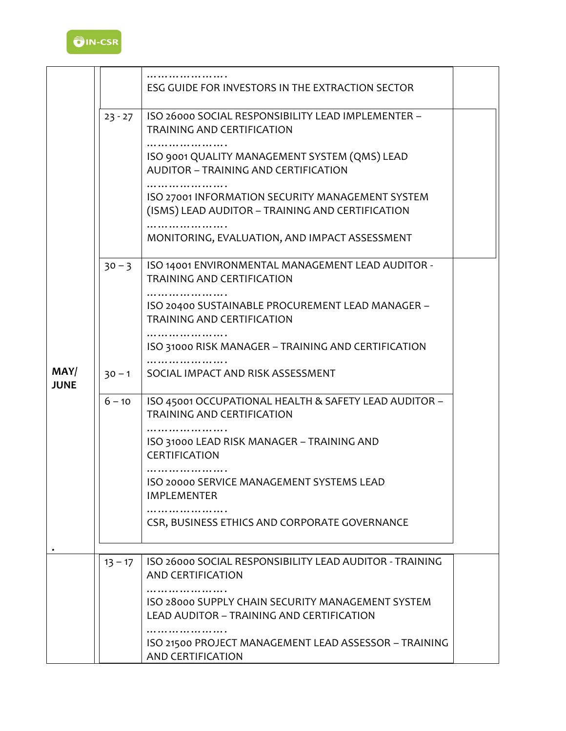

|                     |           | ESG GUIDE FOR INVESTORS IN THE EXTRACTION SECTOR                                                     |  |
|---------------------|-----------|------------------------------------------------------------------------------------------------------|--|
|                     | $23 - 27$ | ISO 26000 SOCIAL RESPONSIBILITY LEAD IMPLEMENTER -<br><b>TRAINING AND CERTIFICATION</b>              |  |
|                     |           | ISO 9001 QUALITY MANAGEMENT SYSTEM (QMS) LEAD<br><b>AUDITOR - TRAINING AND CERTIFICATION</b>         |  |
|                     |           | ISO 27001 INFORMATION SECURITY MANAGEMENT SYSTEM<br>(ISMS) LEAD AUDITOR - TRAINING AND CERTIFICATION |  |
|                     |           | MONITORING, EVALUATION, AND IMPACT ASSESSMENT                                                        |  |
|                     | $30 - 3$  | ISO 14001 ENVIRONMENTAL MANAGEMENT LEAD AUDITOR -<br><b>TRAINING AND CERTIFICATION</b>               |  |
|                     |           | ISO 20400 SUSTAINABLE PROCUREMENT LEAD MANAGER -<br>TRAINING AND CERTIFICATION                       |  |
|                     |           | ISO 31000 RISK MANAGER - TRAINING AND CERTIFICATION                                                  |  |
| MAY/<br><b>JUNE</b> | $30 - 1$  | SOCIAL IMPACT AND RISK ASSESSMENT                                                                    |  |
|                     | $6 - 10$  | ISO 45001 OCCUPATIONAL HEALTH & SAFETY LEAD AUDITOR -<br><b>TRAINING AND CERTIFICATION</b>           |  |
|                     |           | .<br>ISO 31000 LEAD RISK MANAGER - TRAINING AND<br><b>CERTIFICATION</b>                              |  |
|                     |           | ISO 20000 SERVICE MANAGEMENT SYSTEMS LEAD<br><b>IMPLEMENTER</b>                                      |  |
|                     |           | CSR, BUSINESS ETHICS AND CORPORATE GOVERNANCE                                                        |  |
|                     |           |                                                                                                      |  |
|                     | $13 - 17$ | ISO 26000 SOCIAL RESPONSIBILITY LEAD AUDITOR - TRAINING<br>AND CERTIFICATION                         |  |
|                     |           | ISO 28000 SUPPLY CHAIN SECURITY MANAGEMENT SYSTEM<br>LEAD AUDITOR - TRAINING AND CERTIFICATION       |  |
|                     |           | ISO 21500 PROJECT MANAGEMENT LEAD ASSESSOR - TRAINING<br>AND CERTIFICATION                           |  |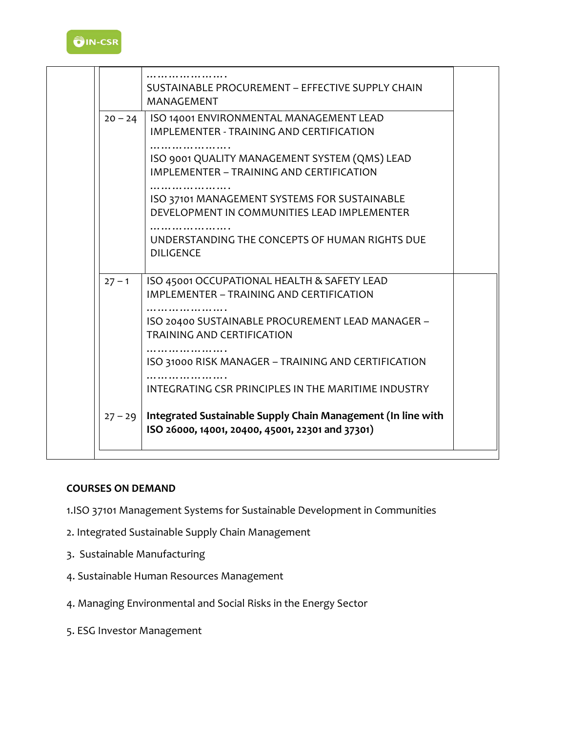

|           | SUSTAINABLE PROCUREMENT - EFFECTIVE SUPPLY CHAIN<br>MANAGEMENT                                                                                                                   |  |
|-----------|----------------------------------------------------------------------------------------------------------------------------------------------------------------------------------|--|
| $20 - 24$ | ISO 14001 ENVIRONMENTAL MANAGEMENT LEAD<br>IMPLEMENTER - TRAINING AND CERTIFICATION<br>ISO 9001 QUALITY MANAGEMENT SYSTEM (QMS) LEAD<br>IMPLEMENTER - TRAINING AND CERTIFICATION |  |
|           | ISO 37101 MANAGEMENT SYSTEMS FOR SUSTAINABLE<br>DEVELOPMENT IN COMMUNITIES LEAD IMPLEMENTER                                                                                      |  |
|           | UNDERSTANDING THE CONCEPTS OF HUMAN RIGHTS DUE<br><b>DILIGENCE</b>                                                                                                               |  |
| $27 - 1$  | ISO 45001 OCCUPATIONAL HEALTH & SAFETY LEAD<br>IMPLEMENTER - TRAINING AND CERTIFICATION                                                                                          |  |
|           | ISO 20400 SUSTAINABLE PROCUREMENT LEAD MANAGER -<br><b>TRAINING AND CERTIFICATION</b>                                                                                            |  |
|           | ISO 31000 RISK MANAGER - TRAINING AND CERTIFICATION<br>INTEGRATING CSR PRINCIPLES IN THE MARITIME INDUSTRY                                                                       |  |
| $27 - 29$ | Integrated Sustainable Supply Chain Management (In line with<br>ISO 26000, 14001, 20400, 45001, 22301 and 37301)                                                                 |  |

### **COURSES ON DEMAND**

- 1.ISO 37101 Management Systems for Sustainable Development in Communities
- 2. Integrated Sustainable Supply Chain Management
- 3. Sustainable Manufacturing
- 4. Sustainable Human Resources Management
- 4. Managing Environmental and Social Risks in the Energy Sector
- 5. ESG Investor Management